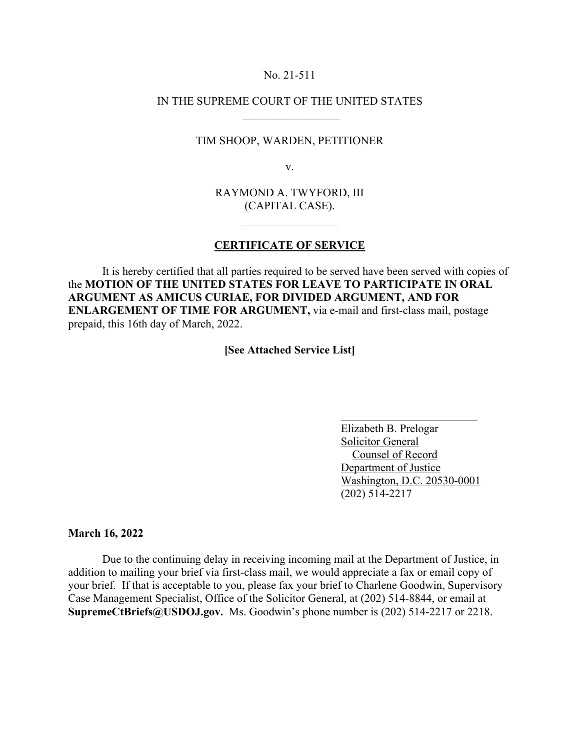## No. 21-511

## IN THE SUPREME COURT OF THE UNITED STATES  $\frac{1}{2}$  ,  $\frac{1}{2}$  ,  $\frac{1}{2}$  ,  $\frac{1}{2}$  ,  $\frac{1}{2}$  ,  $\frac{1}{2}$  ,  $\frac{1}{2}$  ,  $\frac{1}{2}$  ,  $\frac{1}{2}$  ,  $\frac{1}{2}$

## TIM SHOOP, WARDEN, PETITIONER

v.

RAYMOND A. TWYFORD, III (CAPITAL CASE).

 $\mathcal{L}=\mathcal{L}^{\text{max}}$ 

## **CERTIFICATE OF SERVICE**

It is hereby certified that all parties required to be served have been served with copies of the **MOTION OF THE UNITED STATES FOR LEAVE TO PARTICIPATE IN ORAL ARGUMENT AS AMICUS CURIAE, FOR DIVIDED ARGUMENT, AND FOR ENLARGEMENT OF TIME FOR ARGUMENT,** via e-mail and first-class mail, postage prepaid, this 16th day of March, 2022.

**[See Attached Service List]**

 Elizabeth B. Prelogar Solicitor General Counsel of Record Department of Justice Washington, D.C. 20530-0001 (202) 514-2217

**March 16, 2022**

Due to the continuing delay in receiving incoming mail at the Department of Justice, in addition to mailing your brief via first-class mail, we would appreciate a fax or email copy of your brief. If that is acceptable to you, please fax your brief to Charlene Goodwin, Supervisory Case Management Specialist, Office of the Solicitor General, at (202) 514-8844, or email at **SupremeCtBriefs@USDOJ.gov.** Ms. Goodwin's phone number is (202) 514-2217 or 2218.